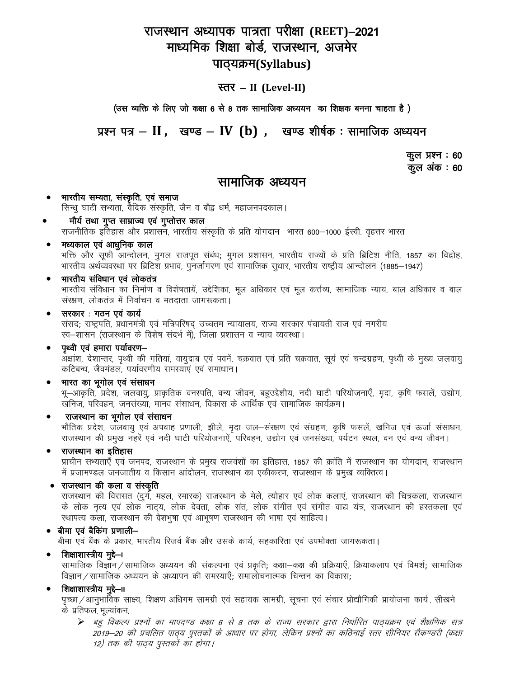## राजस्थान अध्यापक पात्रता परीक्षा (REET)–2021 माध्यमिक शिक्षा बोर्ड, राजस्थान, अजमेर पाठ्यक्रम(Syllabus)

### स्तर – II (Level-II)

(उस व्यक्ति के लिए जो कक्षा 6 से 8 तक सामाजिक अध्ययन का शिक्षक बनना चाहता है)

प्रश्न पत्र – II, खण्ड – IV (b), खण्ड शीर्षक: सामाजिक अध्ययन

कूल प्रश्न : 60 कुल अंक : 60

### सामाजिक अध्ययन

भारतीय सम्यता, संस्कृति. एवं समाज  $\bullet$ सिन्धु घाटी सभ्यता, वैदिक संस्कृति, जैन व बौद्व धर्म, महाजनपदकाल।

मौर्य तथा गुप्त साम्राज्य एवं गुप्तोत्तर काल राजनीतिक इतिहास और प्रशासन, भारतीय संस्कृति के प्रति योगदान) भारत 600–1000 ईस्वी. वृहत्तर भारत

#### मध्यकाल एवं आधुनिक काल

भक्ति और सुफी आन्दोलन, मुगल राजपुत संबंध; मुगल प्रशासन, भारतीय राज्यों के प्रति ब्रिटिश नीति, 1857 का विद्रोह, भारतीय अर्थव्यवस्था पर ब्रिटिश प्रभाव, पुनर्जागरण एवं सामाजिक सुधार, भारतीय राष्ट्रीय आन्दोलन (1885–1947)

#### भारतीय संविधान एवं लोकतंत्र  $\bullet$

भारतीय संविधान का निर्माण व विशेषतायें, उद्देशिका, मूल अधिकार एवं मूल कर्त्तव्य, सामाजिक न्याय, बाल अधिकार व बाल संरक्षण, लोकतंत्र में निर्वाचन व मतदाता जागरूकता।

#### सरकार : गठन एवं कार्य  $\bullet$

संसद; राष्ट्रपति, प्रधानमंत्री एवं मत्रिपरिषद् उच्चतम न्यायालय, राज्य सरकार पंचायती राज एवं नगरीय रव-शासन (राजस्थान के विशेष संदर्भ में), जिला प्रशासन व न्याय व्यवस्था।

#### पृथ्वी एवं हमारा पर्यावरण—

-<br>अक्षांश, देशान्तर, पृथ्वी की गतियां, वायुदाब एवं पवनें, चक्रवात एवं प्रति चक्रवात, सूर्य एवं चन्द्रग्रहण, पृथ्वी के मुख्य जलवायु कटिबन्ध, जैवमंडल, पर्यावरणीय समस्याएं एवं समाधान।

#### भारत का भुगोल एवं संसाधन

भू–आकृति, प्रदेश, जलवायु, प्राकृतिक वनस्पति, वन्य जीवन, बहुउद्देशीय, नदी घाटी परियोजनाएँ, मृदा, कृषि फसलें, उद्योग, खनिज, परिवहन, जनसंख्या, मानव संसाधन, विकास के आर्थिक एवं सामाजिक कार्यक्रम।

#### राजस्थान का भूगोल एवं संसाधन

भौतिक प्रदेश, जलवायू एवं अपवाह प्रणाली, झीले, मृदा जल—संरक्षण एवं संग्रहण, कृषि फसलें, खनिज एवं ऊर्जा संसाधन, राजस्थान की प्रमुख नहरें एवं नदी घाटी परियोजनाऐं, परिवहन, उद्योग एवं जनसंख्या, पर्यटन स्थल, वन एवं वन्य जीवन।

#### राजस्थान का इतिहास  $\bullet$

प्राचीन सभ्यताएँ एवं जनपद, राजस्थान के प्रमुख राजवंशों का इतिहास, 1857 की क्रांति में राजस्थान का योगदान, राजस्थान में प्रजामण्डल जनजातीय व किसान आंदोलन, राजस्थान का एकीकरण, राजस्थान के प्रमुख व्यक्तित्व।

#### • राजस्थान की कला व संस्कृति

राजस्थान की विरासत (दुर्ग, महल, स्मारक) राजस्थान के मेले, त्योहार एवं लोक कलाएं, राजस्थान की चित्रकला, राजस्थान के लोक नृत्य एवं लोक नाट्य, लोक देवता, लोक संत, लोक संगीत एवं संगीत वाद्य यंत्र, राजस्थान की हस्तकला एवं स्थापत्य कला, राजस्थान की वेशभूषा एवं आभूषण राजस्थान की भाषा एवं साहित्य।

#### • बीमा एवं बैकिंग प्रणाली-

बीमा एवं बैंक के प्रकार, भारतीय रिजर्व बैंक और उसके कार्य, सहकारिता एवं उपभोक्ता जागरूकता।

#### शिक्षाशास्त्रीय मुद्दे—।

सामाजिक विज्ञान ⁄ सामाजिक अध्ययन की संकल्पना एवं प्रकृति; कक्षा—कक्ष की प्रक्रियाएँ, क्रियाकलाप एवं विमर्श; सामाजिक विज्ञान / सामाजिक अध्ययन के अध्यापन की समस्याएँ; समालोचनात्मक चिन्तन का विकास;

#### शिक्षाशास्त्रीय मुद्दे—॥

पृच्छा /आनुभाविक साक्ष्य, शिक्षण अधिगम सामग्री एवं सहायक सामग्री, सूचना एवं संचार प्रोद्यौगिकी प्रायोजना कार्य, सीखने के प्रतिफल, मूल्यांकन,

▶ बहु विकल्प प्रश्नों का मापदण्ड कक्षा 6 से 8 तक के राज्य सरकार द्वारा निर्धारित पाठयक्रम एवं शैक्षणिक सत्र 2019–20 की प्रचलित पाठ्य पुस्तकों के आधार पर होगा, लेकिन प्रश्नों का कठिनाई स्तर सीनियर सैकण्डरी (कक्षा 12) तक की पाठय पुस्तकों का होगा।